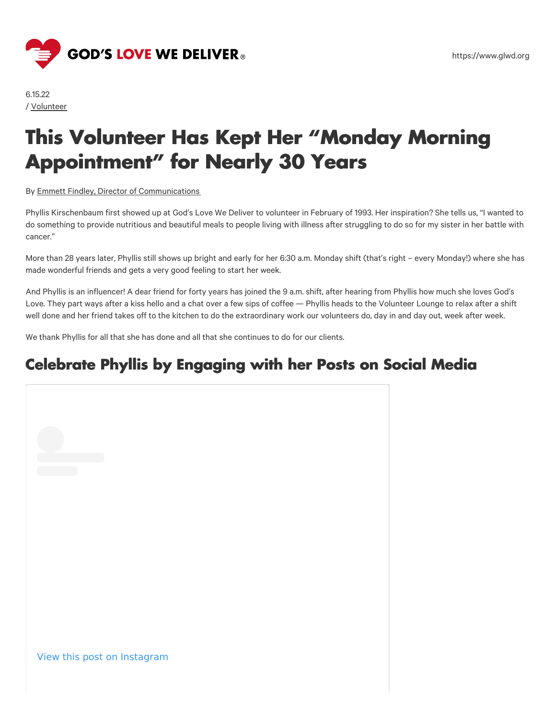

#### https://www.glwd.org

# **This Volunteer Has Kept Her "Monday Morning Appointment" for Nearly 30 Years**

By Emmett Findley, Director of [Communications](https://www.glwd.org/blog/?post-author=emmett-findley)

Phyllis Kirschenbaum first showed up at God's Love We Deliver to volunteer in February of 1993. Her inspiration? She tells us, "I wanted to do something to provide nutritious and beautiful meals to people living with illness after struggling to do so for my sister in her battle with cancer."

More than 28 years later, Phyllis still shows up bright and early for her 6:30 a.m. Monday shift (that's right – every Monday!) where she has made wonderful friends and gets a very good feeling to start her week.

And Phyllis is an influencer! A dear friend for forty years has joined the 9 a.m. shift, after hearing from Phyllis how much she loves God's Love. They part ways after a kiss hello and a chat over a few sips of coffee — Phyllis heads to the Volunteer Lounge to relax after a shift well done and her friend takes off to the kitchen to do the extraordinary work our volunteers do, day in and day out, week after week.

We thank Phyllis for all that she has done and all that she continues to do for our clients.

#### **Celebrate Phyllis by Engaging with her Posts on Social Media**

View this post on Instagram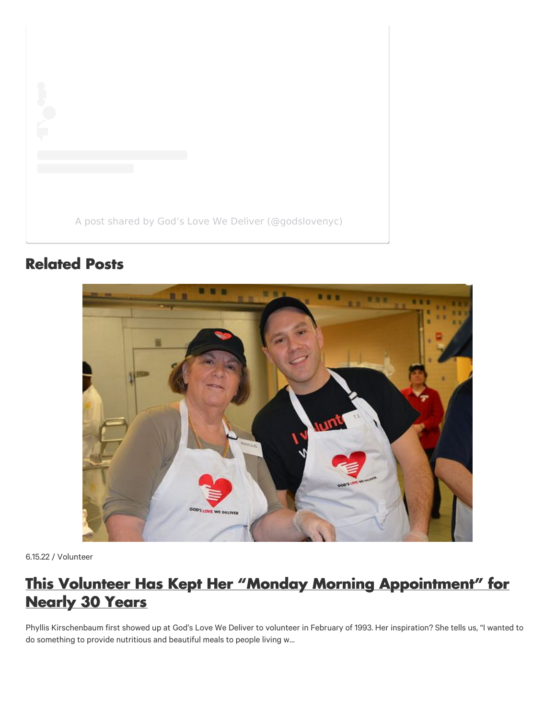A post shared by God's Love We Deliver [\(@godslovenyc\)](https://www.instagram.com/p/CezH4fXMXMT/?utm_source=ig_embed&utm_campaign=loading)

## **Related Posts**



6.15.22 / Volunteer

## **This Volunteer Has Kept Her "Monday Morning [Appointment"](https://www.glwd.org/blog/this-volunteer-has-kept-her-monday-morning-appointment-for-nearly-30-years/) for Nearly 30 Years**

Phyllis Kirschenbaum first showed up at God's Love We Deliver to volunteer in February of 1993. Her inspiration? She tells us, "I wanted to do something to provide nutritious and beautiful meals to people living w…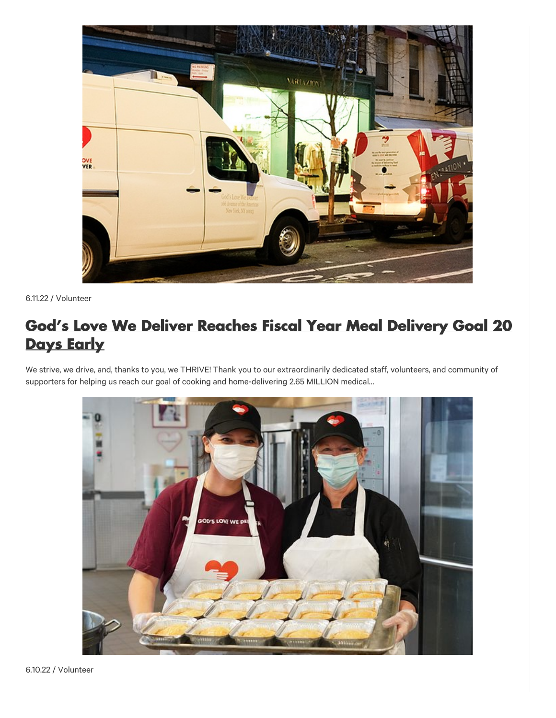

6.11.22 / Volunteer

### **God's Love We Deliver Reaches Fiscal Year Meal [Delivery](https://www.glwd.org/blog/gods-love-we-deliver-reaches-fiscal-year-meal-delivery-goal-20-days-early/) Goal 20 Days Early**

We strive, we drive, and, thanks to you, we THRIVE! Thank you to our extraordinarily dedicated staff, volunteers, and community of supporters for helping us reach our goal of cooking and home-delivering 2.65 MILLION medical…